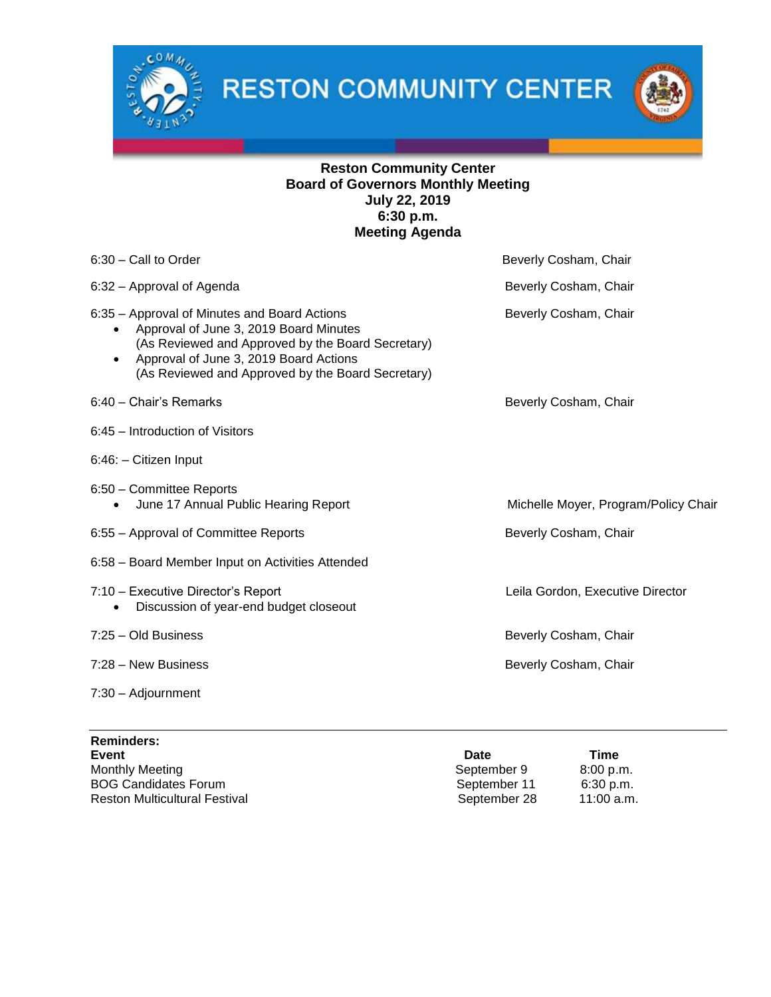

**RESTON COMMUNITY CENTER** 



# **Reston Community Center Board of Governors Monthly Meeting July 22, 2019 6:30 p.m. Meeting Agenda**

| 6:30 - Call to Order                                                                                                                                                                                                                                    | Beverly Cosham, Chair                |
|---------------------------------------------------------------------------------------------------------------------------------------------------------------------------------------------------------------------------------------------------------|--------------------------------------|
| 6:32 - Approval of Agenda                                                                                                                                                                                                                               | Beverly Cosham, Chair                |
| 6:35 – Approval of Minutes and Board Actions<br>Approval of June 3, 2019 Board Minutes<br>(As Reviewed and Approved by the Board Secretary)<br>Approval of June 3, 2019 Board Actions<br>$\bullet$<br>(As Reviewed and Approved by the Board Secretary) | Beverly Cosham, Chair                |
| 6:40 - Chair's Remarks                                                                                                                                                                                                                                  | Beverly Cosham, Chair                |
| 6:45 - Introduction of Visitors                                                                                                                                                                                                                         |                                      |
| 6:46: - Citizen Input                                                                                                                                                                                                                                   |                                      |
| 6:50 - Committee Reports<br>June 17 Annual Public Hearing Report                                                                                                                                                                                        | Michelle Moyer, Program/Policy Chair |
| 6:55 - Approval of Committee Reports                                                                                                                                                                                                                    | Beverly Cosham, Chair                |
| 6:58 - Board Member Input on Activities Attended                                                                                                                                                                                                        |                                      |
| 7:10 - Executive Director's Report<br>Discussion of year-end budget closeout                                                                                                                                                                            | Leila Gordon, Executive Director     |
| 7:25 - Old Business                                                                                                                                                                                                                                     | Beverly Cosham, Chair                |
| 7:28 – New Business                                                                                                                                                                                                                                     | Beverly Cosham, Chair                |
| $7:30 - Adjournment$                                                                                                                                                                                                                                    |                                      |

| <b>Reminders:</b>                    |              |              |
|--------------------------------------|--------------|--------------|
| Event                                | <b>Date</b>  | Time         |
| <b>Monthly Meeting</b>               | September 9  | 8:00 p.m.    |
| <b>BOG Candidates Forum</b>          | September 11 | 6:30 p.m.    |
| <b>Reston Multicultural Festival</b> | September 28 | $11:00$ a.m. |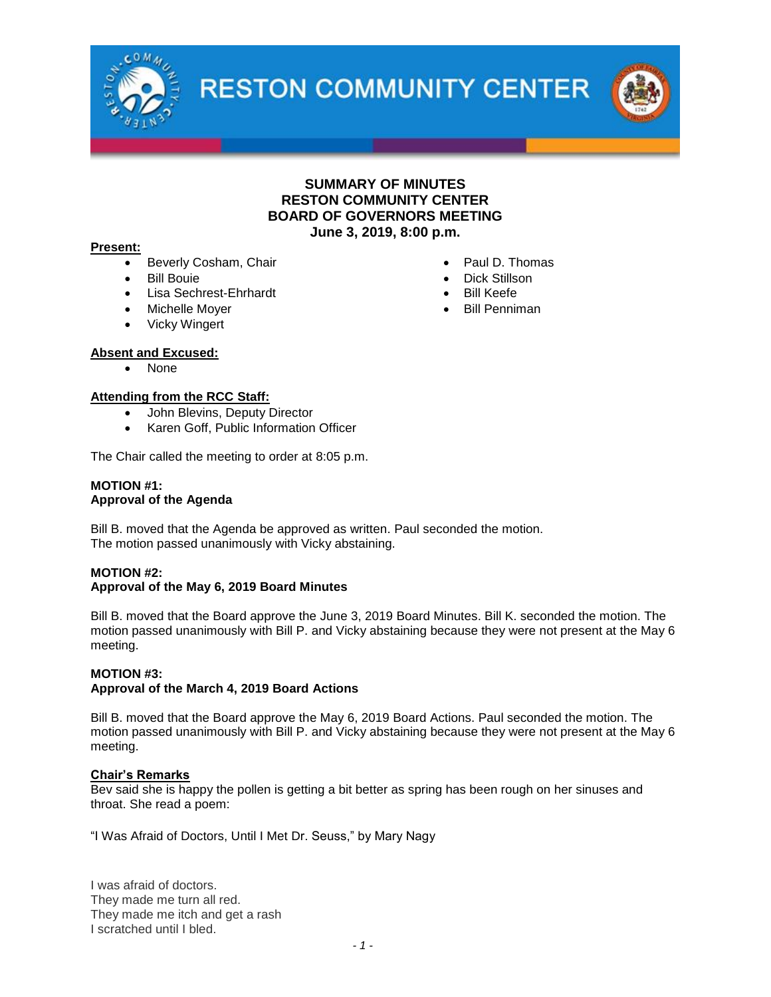

**RESTON COMMUNITY CENTER** 

## **SUMMARY OF MINUTES RESTON COMMUNITY CENTER BOARD OF GOVERNORS MEETING June 3, 2019, 8:00 p.m.**

#### **Present:**

- Beverly Cosham, Chair
- Bill Bouie
- Lisa Sechrest-Ehrhardt
- Michelle Moyer
- Vicky Wingert

### **Absent and Excused:**

• None

### **Attending from the RCC Staff:**

- John Blevins, Deputy Director
- Karen Goff, Public Information Officer

The Chair called the meeting to order at 8:05 p.m.

#### **MOTION #1: Approval of the Agenda**

Bill B. moved that the Agenda be approved as written. Paul seconded the motion. The motion passed unanimously with Vicky abstaining.

## **MOTION #2:**

## **Approval of the May 6, 2019 Board Minutes**

Bill B. moved that the Board approve the June 3, 2019 Board Minutes. Bill K. seconded the motion. The motion passed unanimously with Bill P. and Vicky abstaining because they were not present at the May 6 meeting.

#### **MOTION #3:**

#### **Approval of the March 4, 2019 Board Actions**

Bill B. moved that the Board approve the May 6, 2019 Board Actions. Paul seconded the motion. The motion passed unanimously with Bill P. and Vicky abstaining because they were not present at the May 6 meeting.

### **Chair's Remarks**

Bev said she is happy the pollen is getting a bit better as spring has been rough on her sinuses and throat. She read a poem:

"I Was Afraid of Doctors, Until I Met Dr. Seuss," by Mary Nagy

I was afraid of doctors. They made me turn all red. They made me itch and get a rash I scratched until I bled.

- Paul D. Thomas
- Dick Stillson
- Bill Keefe
- Bill Penniman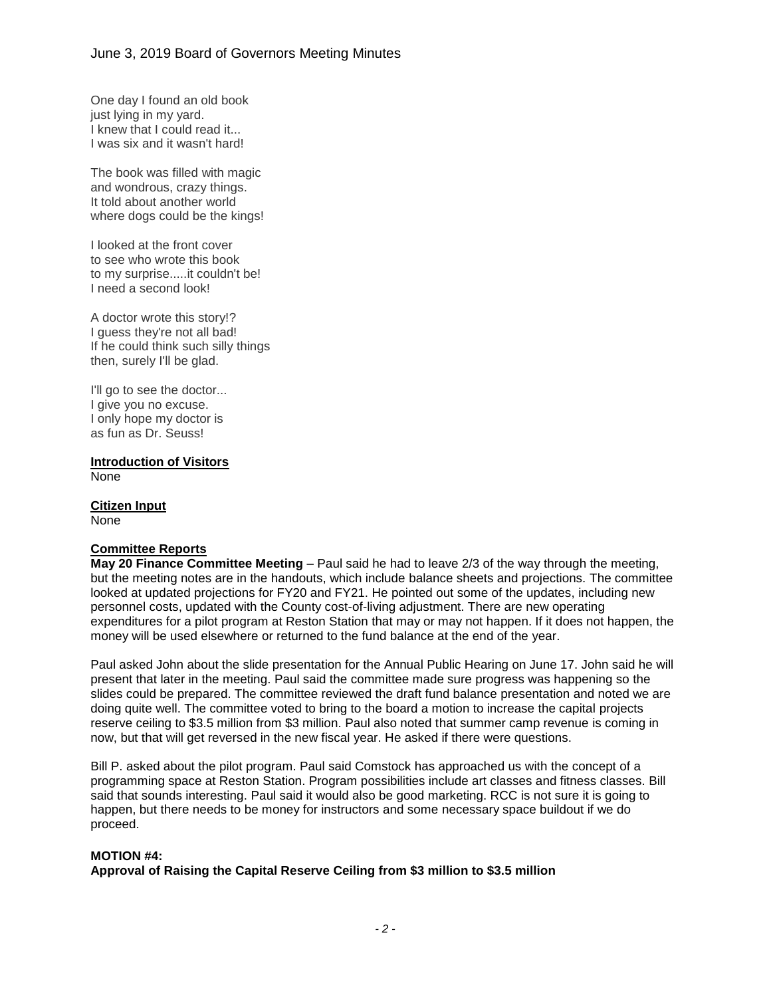One day I found an old book just lying in my yard. I knew that I could read it... I was six and it wasn't hard!

The book was filled with magic and wondrous, crazy things. It told about another world where dogs could be the kings!

I looked at the front cover to see who wrote this book to my surprise.....it couldn't be! I need a second look!

A doctor wrote this story!? I guess they're not all bad! If he could think such silly things then, surely I'll be glad.

I'll go to see the doctor... I give you no excuse. I only hope my doctor is as fun as Dr. Seuss!

**Introduction of Visitors** None

**Citizen Input** None

### **Committee Reports**

**May 20 Finance Committee Meeting** – Paul said he had to leave 2/3 of the way through the meeting, but the meeting notes are in the handouts, which include balance sheets and projections. The committee looked at updated projections for FY20 and FY21. He pointed out some of the updates, including new personnel costs, updated with the County cost-of-living adjustment. There are new operating expenditures for a pilot program at Reston Station that may or may not happen. If it does not happen, the money will be used elsewhere or returned to the fund balance at the end of the year.

Paul asked John about the slide presentation for the Annual Public Hearing on June 17. John said he will present that later in the meeting. Paul said the committee made sure progress was happening so the slides could be prepared. The committee reviewed the draft fund balance presentation and noted we are doing quite well. The committee voted to bring to the board a motion to increase the capital projects reserve ceiling to \$3.5 million from \$3 million. Paul also noted that summer camp revenue is coming in now, but that will get reversed in the new fiscal year. He asked if there were questions.

Bill P. asked about the pilot program. Paul said Comstock has approached us with the concept of a programming space at Reston Station. Program possibilities include art classes and fitness classes. Bill said that sounds interesting. Paul said it would also be good marketing. RCC is not sure it is going to happen, but there needs to be money for instructors and some necessary space buildout if we do proceed.

### **MOTION #4:**

**Approval of Raising the Capital Reserve Ceiling from \$3 million to \$3.5 million**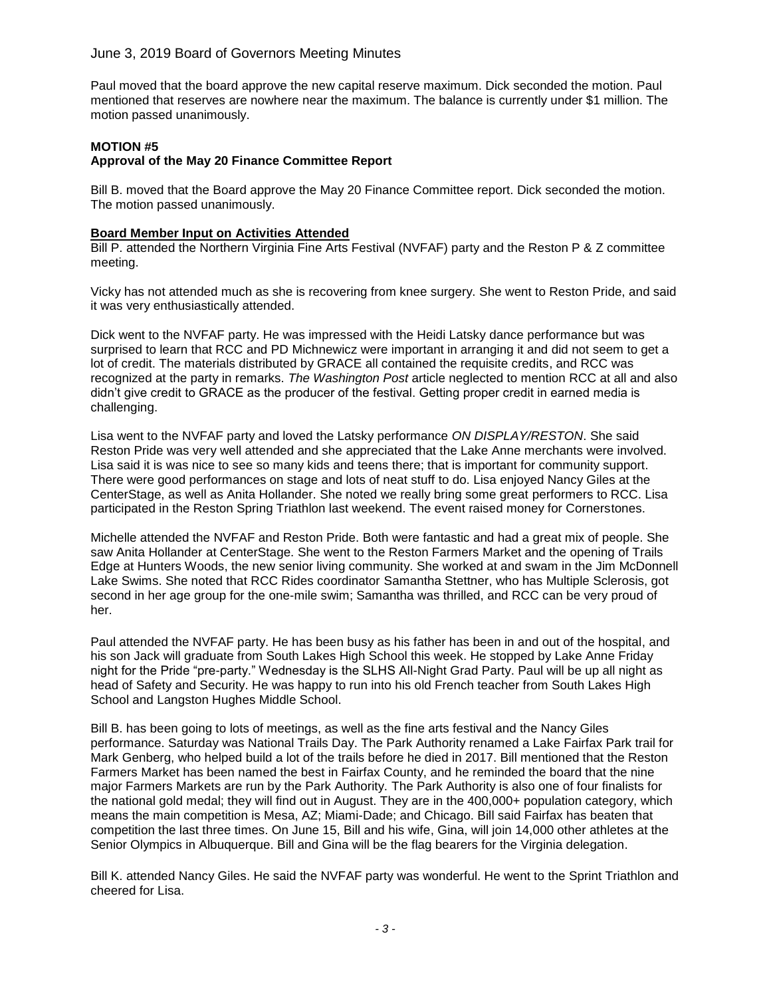## June 3, 2019 Board of Governors Meeting Minutes

Paul moved that the board approve the new capital reserve maximum. Dick seconded the motion. Paul mentioned that reserves are nowhere near the maximum. The balance is currently under \$1 million. The motion passed unanimously.

### **MOTION #5**

# **Approval of the May 20 Finance Committee Report**

Bill B. moved that the Board approve the May 20 Finance Committee report. Dick seconded the motion. The motion passed unanimously.

### **Board Member Input on Activities Attended**

Bill P. attended the Northern Virginia Fine Arts Festival (NVFAF) party and the Reston P & Z committee meeting.

Vicky has not attended much as she is recovering from knee surgery. She went to Reston Pride, and said it was very enthusiastically attended.

Dick went to the NVFAF party. He was impressed with the Heidi Latsky dance performance but was surprised to learn that RCC and PD Michnewicz were important in arranging it and did not seem to get a lot of credit. The materials distributed by GRACE all contained the requisite credits, and RCC was recognized at the party in remarks. *The Washington Post* article neglected to mention RCC at all and also didn't give credit to GRACE as the producer of the festival. Getting proper credit in earned media is challenging.

Lisa went to the NVFAF party and loved the Latsky performance *ON DISPLAY/RESTON*. She said Reston Pride was very well attended and she appreciated that the Lake Anne merchants were involved. Lisa said it is was nice to see so many kids and teens there; that is important for community support. There were good performances on stage and lots of neat stuff to do. Lisa enjoyed Nancy Giles at the CenterStage, as well as Anita Hollander. She noted we really bring some great performers to RCC. Lisa participated in the Reston Spring Triathlon last weekend. The event raised money for Cornerstones.

Michelle attended the NVFAF and Reston Pride. Both were fantastic and had a great mix of people. She saw Anita Hollander at CenterStage. She went to the Reston Farmers Market and the opening of Trails Edge at Hunters Woods, the new senior living community. She worked at and swam in the Jim McDonnell Lake Swims. She noted that RCC Rides coordinator Samantha Stettner, who has Multiple Sclerosis, got second in her age group for the one-mile swim; Samantha was thrilled, and RCC can be very proud of her.

Paul attended the NVFAF party. He has been busy as his father has been in and out of the hospital, and his son Jack will graduate from South Lakes High School this week. He stopped by Lake Anne Friday night for the Pride "pre-party." Wednesday is the SLHS All-Night Grad Party. Paul will be up all night as head of Safety and Security. He was happy to run into his old French teacher from South Lakes High School and Langston Hughes Middle School.

Bill B. has been going to lots of meetings, as well as the fine arts festival and the Nancy Giles performance. Saturday was National Trails Day. The Park Authority renamed a Lake Fairfax Park trail for Mark Genberg, who helped build a lot of the trails before he died in 2017. Bill mentioned that the Reston Farmers Market has been named the best in Fairfax County, and he reminded the board that the nine major Farmers Markets are run by the Park Authority. The Park Authority is also one of four finalists for the national gold medal; they will find out in August. They are in the 400,000+ population category, which means the main competition is Mesa, AZ; Miami-Dade; and Chicago. Bill said Fairfax has beaten that competition the last three times. On June 15, Bill and his wife, Gina, will join 14,000 other athletes at the Senior Olympics in Albuquerque. Bill and Gina will be the flag bearers for the Virginia delegation.

Bill K. attended Nancy Giles. He said the NVFAF party was wonderful. He went to the Sprint Triathlon and cheered for Lisa.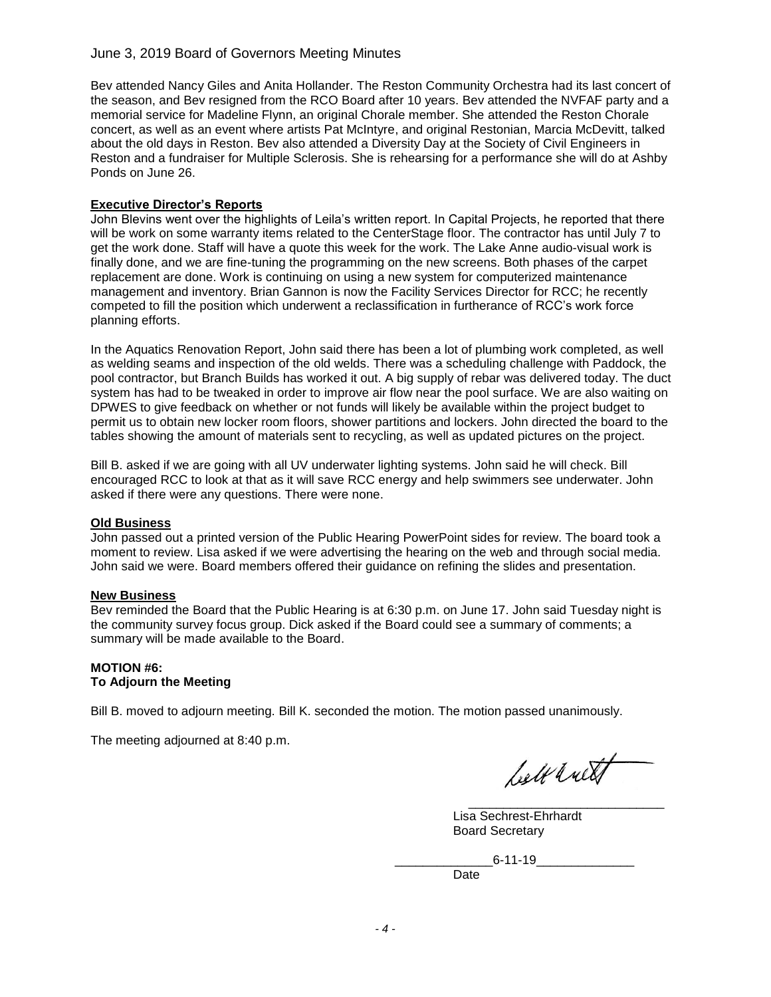## June 3, 2019 Board of Governors Meeting Minutes

Bev attended Nancy Giles and Anita Hollander. The Reston Community Orchestra had its last concert of the season, and Bev resigned from the RCO Board after 10 years. Bev attended the NVFAF party and a memorial service for Madeline Flynn, an original Chorale member. She attended the Reston Chorale concert, as well as an event where artists Pat McIntyre, and original Restonian, Marcia McDevitt, talked about the old days in Reston. Bev also attended a Diversity Day at the Society of Civil Engineers in Reston and a fundraiser for Multiple Sclerosis. She is rehearsing for a performance she will do at Ashby Ponds on June 26.

### **Executive Director's Reports**

John Blevins went over the highlights of Leila's written report. In Capital Projects, he reported that there will be work on some warranty items related to the CenterStage floor. The contractor has until July 7 to get the work done. Staff will have a quote this week for the work. The Lake Anne audio-visual work is finally done, and we are fine-tuning the programming on the new screens. Both phases of the carpet replacement are done. Work is continuing on using a new system for computerized maintenance management and inventory. Brian Gannon is now the Facility Services Director for RCC; he recently competed to fill the position which underwent a reclassification in furtherance of RCC's work force planning efforts.

In the Aquatics Renovation Report, John said there has been a lot of plumbing work completed, as well as welding seams and inspection of the old welds. There was a scheduling challenge with Paddock, the pool contractor, but Branch Builds has worked it out. A big supply of rebar was delivered today. The duct system has had to be tweaked in order to improve air flow near the pool surface. We are also waiting on DPWES to give feedback on whether or not funds will likely be available within the project budget to permit us to obtain new locker room floors, shower partitions and lockers. John directed the board to the tables showing the amount of materials sent to recycling, as well as updated pictures on the project.

Bill B. asked if we are going with all UV underwater lighting systems. John said he will check. Bill encouraged RCC to look at that as it will save RCC energy and help swimmers see underwater. John asked if there were any questions. There were none.

### **Old Business**

John passed out a printed version of the Public Hearing PowerPoint sides for review. The board took a moment to review. Lisa asked if we were advertising the hearing on the web and through social media. John said we were. Board members offered their guidance on refining the slides and presentation.

### **New Business**

Bev reminded the Board that the Public Hearing is at 6:30 p.m. on June 17. John said Tuesday night is the community survey focus group. Dick asked if the Board could see a summary of comments; a summary will be made available to the Board.

### **MOTION #6: To Adjourn the Meeting**

Bill B. moved to adjourn meeting. Bill K. seconded the motion. The motion passed unanimously.

The meeting adjourned at 8:40 p.m.

bell with

Lisa Sechrest-Ehrhardt Board Secretary

\_\_\_\_\_\_\_\_\_\_\_\_\_\_6-11-19\_\_\_\_\_\_\_\_\_\_\_\_\_\_

Date

 $\overline{\phantom{a}}$  , and the state of the state of the state of the state of the state of the state of the state of the state of the state of the state of the state of the state of the state of the state of the state of the stat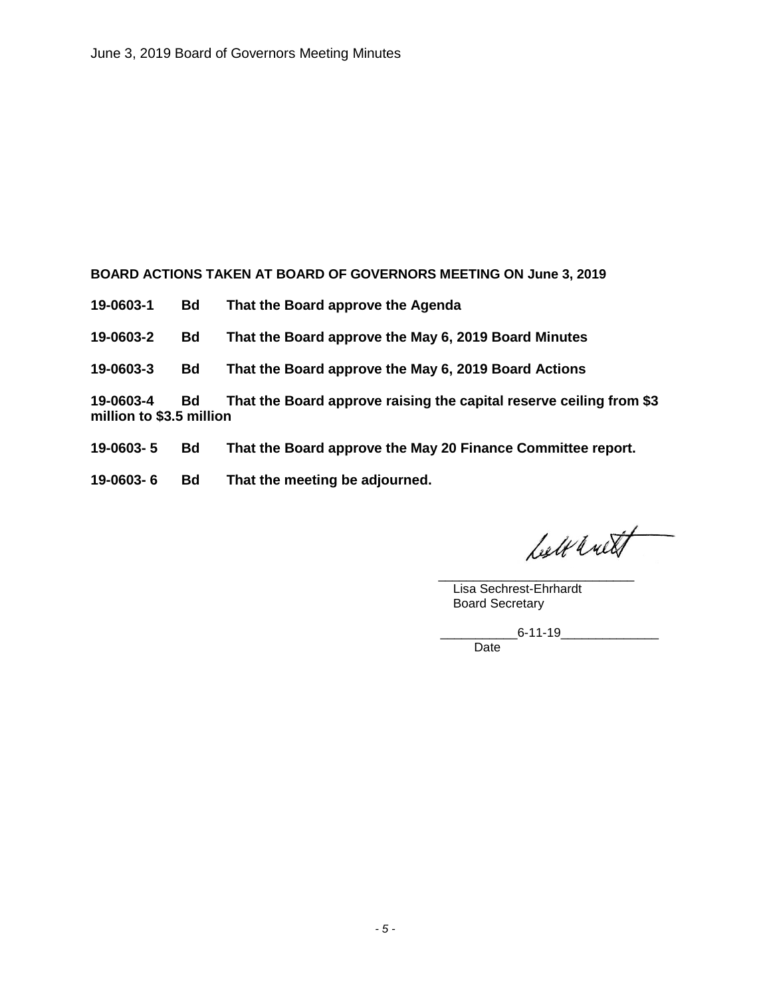**BOARD ACTIONS TAKEN AT BOARD OF GOVERNORS MEETING ON June 3, 2019**

**19-0603-1 Bd That the Board approve the Agenda**

**19-0603-2 Bd That the Board approve the May 6, 2019 Board Minutes**

**19-0603-3 Bd That the Board approve the May 6, 2019 Board Actions**

**19-0603-4 Bd That the Board approve raising the capital reserve ceiling from \$3 million to \$3.5 million**

- **19-0603- 5 Bd That the Board approve the May 20 Finance Committee report.**
- **19-0603- 6 Bd That the meeting be adjourned.**

belt with

\_\_\_\_\_\_\_\_\_\_\_\_\_\_\_\_\_\_\_\_\_\_\_\_\_\_\_\_ Lisa Sechrest-Ehrhardt Board Secretary

> \_\_\_\_\_\_\_\_\_\_\_6-11-19\_\_\_\_\_\_\_\_\_\_\_\_\_\_ Date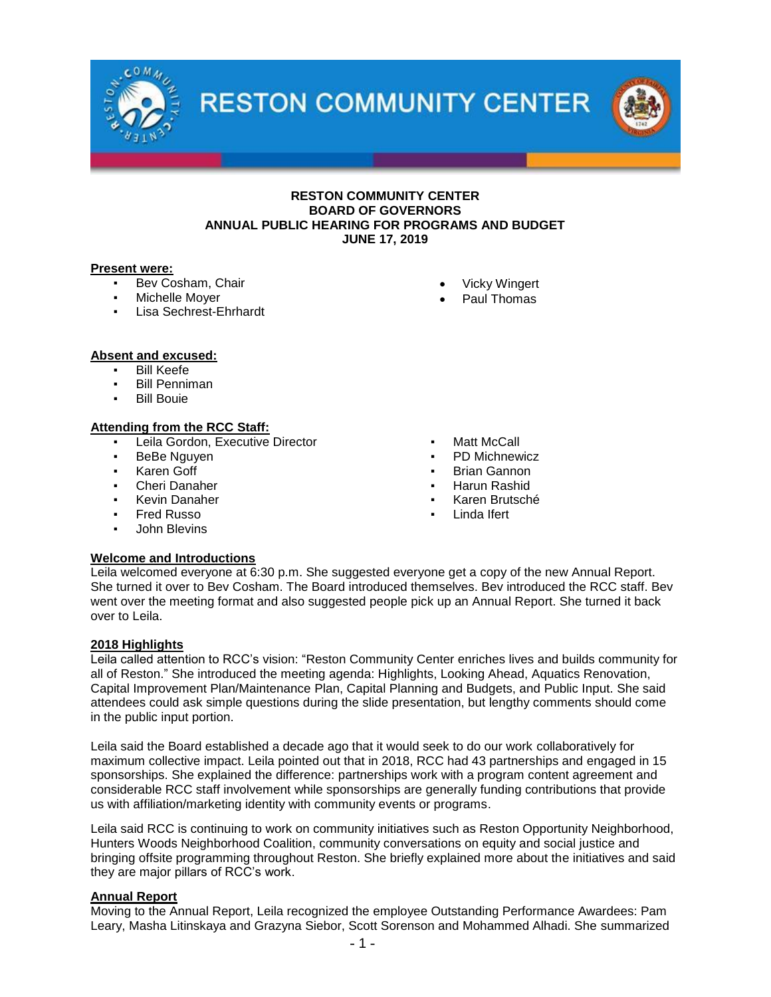



### **RESTON COMMUNITY CENTER BOARD OF GOVERNORS ANNUAL PUBLIC HEARING FOR PROGRAMS AND BUDGET JUNE 17, 2019**

#### **Present were:**

- Bev Cosham, Chair
- Michelle Moyer
- **Lisa Sechrest-Ehrhardt**
- Vicky Wingert
- Paul Thomas

### **Absent and excused:**

- **Bill Keefe**
- Bill Penniman
- **Bill Bouie**

### **Attending from the RCC Staff:**

- Leila Gordon, Executive Director
- BeBe Nguyen
- Karen Goff
- **Cheri Danaher**
- **Kevin Danaher**
- **Fred Russo**
- **John Blevins**
- Matt McCall
- PD Michnewicz
- **Brian Gannon**
- Harun Rashid
- Karen Brutsché
- Linda Ifert

### **Welcome and Introductions**

Leila welcomed everyone at 6:30 p.m. She suggested everyone get a copy of the new Annual Report. She turned it over to Bev Cosham. The Board introduced themselves. Bev introduced the RCC staff. Bev went over the meeting format and also suggested people pick up an Annual Report. She turned it back over to Leila.

### **2018 Highlights**

Leila called attention to RCC's vision: "Reston Community Center enriches lives and builds community for all of Reston." She introduced the meeting agenda: Highlights, Looking Ahead, Aquatics Renovation, Capital Improvement Plan/Maintenance Plan, Capital Planning and Budgets, and Public Input. She said attendees could ask simple questions during the slide presentation, but lengthy comments should come in the public input portion.

Leila said the Board established a decade ago that it would seek to do our work collaboratively for maximum collective impact. Leila pointed out that in 2018, RCC had 43 partnerships and engaged in 15 sponsorships. She explained the difference: partnerships work with a program content agreement and considerable RCC staff involvement while sponsorships are generally funding contributions that provide us with affiliation/marketing identity with community events or programs.

Leila said RCC is continuing to work on community initiatives such as Reston Opportunity Neighborhood, Hunters Woods Neighborhood Coalition, community conversations on equity and social justice and bringing offsite programming throughout Reston. She briefly explained more about the initiatives and said they are major pillars of RCC's work.

### **Annual Report**

Moving to the Annual Report, Leila recognized the employee Outstanding Performance Awardees: Pam Leary, Masha Litinskaya and Grazyna Siebor, Scott Sorenson and Mohammed Alhadi. She summarized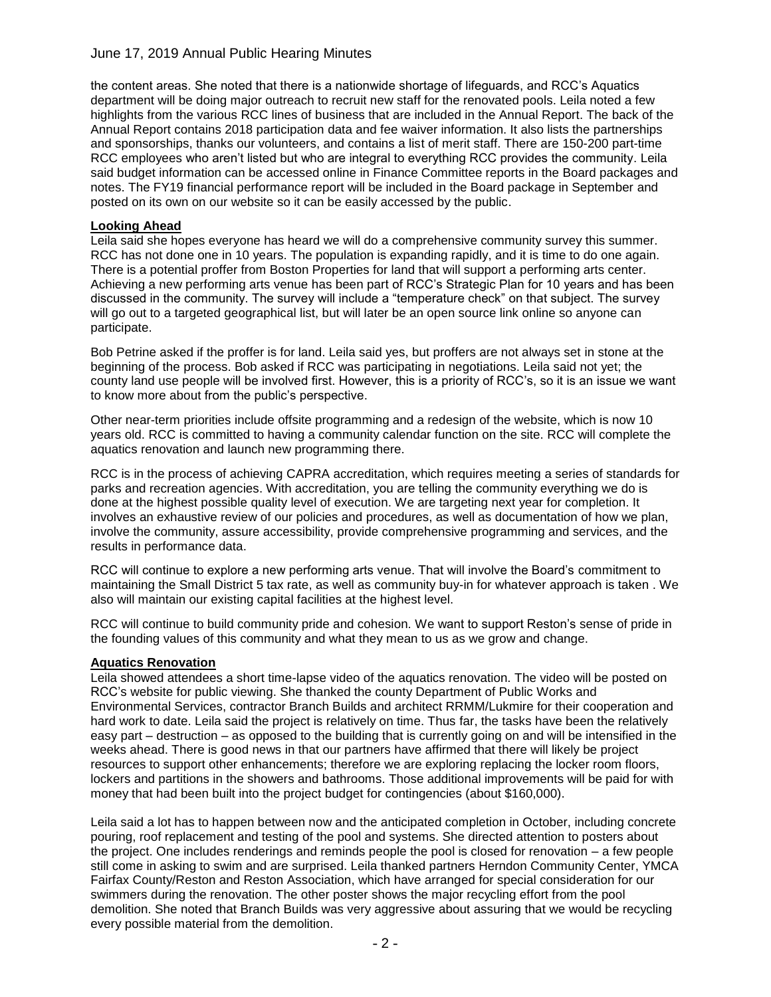the content areas. She noted that there is a nationwide shortage of lifeguards, and RCC's Aquatics department will be doing major outreach to recruit new staff for the renovated pools. Leila noted a few highlights from the various RCC lines of business that are included in the Annual Report. The back of the Annual Report contains 2018 participation data and fee waiver information. It also lists the partnerships and sponsorships, thanks our volunteers, and contains a list of merit staff. There are 150-200 part-time RCC employees who aren't listed but who are integral to everything RCC provides the community. Leila said budget information can be accessed online in Finance Committee reports in the Board packages and notes. The FY19 financial performance report will be included in the Board package in September and posted on its own on our website so it can be easily accessed by the public.

### **Looking Ahead**

Leila said she hopes everyone has heard we will do a comprehensive community survey this summer. RCC has not done one in 10 years. The population is expanding rapidly, and it is time to do one again. There is a potential proffer from Boston Properties for land that will support a performing arts center. Achieving a new performing arts venue has been part of RCC's Strategic Plan for 10 years and has been discussed in the community. The survey will include a "temperature check" on that subject. The survey will go out to a targeted geographical list, but will later be an open source link online so anyone can participate.

Bob Petrine asked if the proffer is for land. Leila said yes, but proffers are not always set in stone at the beginning of the process. Bob asked if RCC was participating in negotiations. Leila said not yet; the county land use people will be involved first. However, this is a priority of RCC's, so it is an issue we want to know more about from the public's perspective.

Other near-term priorities include offsite programming and a redesign of the website, which is now 10 years old. RCC is committed to having a community calendar function on the site. RCC will complete the aquatics renovation and launch new programming there.

RCC is in the process of achieving CAPRA accreditation, which requires meeting a series of standards for parks and recreation agencies. With accreditation, you are telling the community everything we do is done at the highest possible quality level of execution. We are targeting next year for completion. It involves an exhaustive review of our policies and procedures, as well as documentation of how we plan, involve the community, assure accessibility, provide comprehensive programming and services, and the results in performance data.

RCC will continue to explore a new performing arts venue. That will involve the Board's commitment to maintaining the Small District 5 tax rate, as well as community buy-in for whatever approach is taken . We also will maintain our existing capital facilities at the highest level.

RCC will continue to build community pride and cohesion. We want to support Reston's sense of pride in the founding values of this community and what they mean to us as we grow and change.

### **Aquatics Renovation**

Leila showed attendees a short time-lapse video of the aquatics renovation. The video will be posted on RCC's website for public viewing. She thanked the county Department of Public Works and Environmental Services, contractor Branch Builds and architect RRMM/Lukmire for their cooperation and hard work to date. Leila said the project is relatively on time. Thus far, the tasks have been the relatively easy part – destruction – as opposed to the building that is currently going on and will be intensified in the weeks ahead. There is good news in that our partners have affirmed that there will likely be project resources to support other enhancements; therefore we are exploring replacing the locker room floors, lockers and partitions in the showers and bathrooms. Those additional improvements will be paid for with money that had been built into the project budget for contingencies (about \$160,000).

Leila said a lot has to happen between now and the anticipated completion in October, including concrete pouring, roof replacement and testing of the pool and systems. She directed attention to posters about the project. One includes renderings and reminds people the pool is closed for renovation – a few people still come in asking to swim and are surprised. Leila thanked partners Herndon Community Center, YMCA Fairfax County/Reston and Reston Association, which have arranged for special consideration for our swimmers during the renovation. The other poster shows the major recycling effort from the pool demolition. She noted that Branch Builds was very aggressive about assuring that we would be recycling every possible material from the demolition.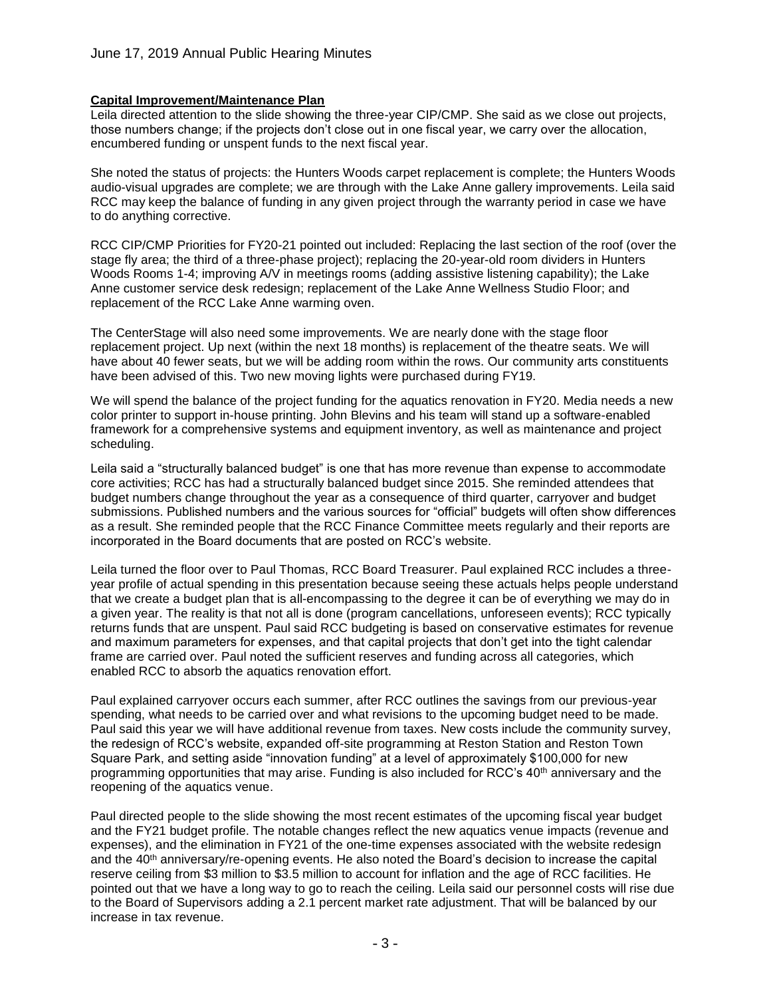## **Capital Improvement/Maintenance Plan**

Leila directed attention to the slide showing the three-year CIP/CMP. She said as we close out projects, those numbers change; if the projects don't close out in one fiscal year, we carry over the allocation, encumbered funding or unspent funds to the next fiscal year.

She noted the status of projects: the Hunters Woods carpet replacement is complete; the Hunters Woods audio-visual upgrades are complete; we are through with the Lake Anne gallery improvements. Leila said RCC may keep the balance of funding in any given project through the warranty period in case we have to do anything corrective.

RCC CIP/CMP Priorities for FY20-21 pointed out included: Replacing the last section of the roof (over the stage fly area; the third of a three-phase project); replacing the 20-year-old room dividers in Hunters Woods Rooms 1-4; improving A/V in meetings rooms (adding assistive listening capability); the Lake Anne customer service desk redesign; replacement of the Lake Anne Wellness Studio Floor; and replacement of the RCC Lake Anne warming oven.

The CenterStage will also need some improvements. We are nearly done with the stage floor replacement project. Up next (within the next 18 months) is replacement of the theatre seats. We will have about 40 fewer seats, but we will be adding room within the rows. Our community arts constituents have been advised of this. Two new moving lights were purchased during FY19.

We will spend the balance of the project funding for the aquatics renovation in FY20. Media needs a new color printer to support in-house printing. John Blevins and his team will stand up a software-enabled framework for a comprehensive systems and equipment inventory, as well as maintenance and project scheduling.

Leila said a "structurally balanced budget" is one that has more revenue than expense to accommodate core activities; RCC has had a structurally balanced budget since 2015. She reminded attendees that budget numbers change throughout the year as a consequence of third quarter, carryover and budget submissions. Published numbers and the various sources for "official" budgets will often show differences as a result. She reminded people that the RCC Finance Committee meets regularly and their reports are incorporated in the Board documents that are posted on RCC's website.

Leila turned the floor over to Paul Thomas, RCC Board Treasurer. Paul explained RCC includes a threeyear profile of actual spending in this presentation because seeing these actuals helps people understand that we create a budget plan that is all-encompassing to the degree it can be of everything we may do in a given year. The reality is that not all is done (program cancellations, unforeseen events); RCC typically returns funds that are unspent. Paul said RCC budgeting is based on conservative estimates for revenue and maximum parameters for expenses, and that capital projects that don't get into the tight calendar frame are carried over. Paul noted the sufficient reserves and funding across all categories, which enabled RCC to absorb the aquatics renovation effort.

Paul explained carryover occurs each summer, after RCC outlines the savings from our previous-year spending, what needs to be carried over and what revisions to the upcoming budget need to be made. Paul said this year we will have additional revenue from taxes. New costs include the community survey, the redesign of RCC's website, expanded off-site programming at Reston Station and Reston Town Square Park, and setting aside "innovation funding" at a level of approximately \$100,000 for new programming opportunities that may arise. Funding is also included for RCC's 40<sup>th</sup> anniversary and the reopening of the aquatics venue.

Paul directed people to the slide showing the most recent estimates of the upcoming fiscal year budget and the FY21 budget profile. The notable changes reflect the new aquatics venue impacts (revenue and expenses), and the elimination in FY21 of the one-time expenses associated with the website redesign and the 40<sup>th</sup> anniversary/re-opening events. He also noted the Board's decision to increase the capital reserve ceiling from \$3 million to \$3.5 million to account for inflation and the age of RCC facilities. He pointed out that we have a long way to go to reach the ceiling. Leila said our personnel costs will rise due to the Board of Supervisors adding a 2.1 percent market rate adjustment. That will be balanced by our increase in tax revenue.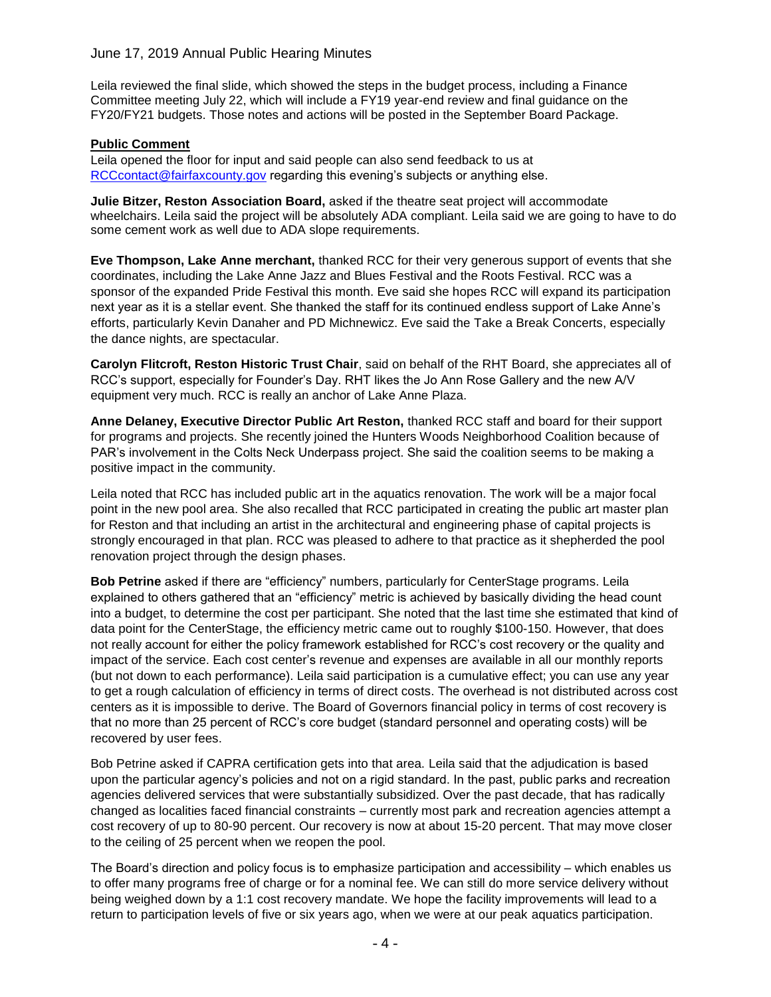Leila reviewed the final slide, which showed the steps in the budget process, including a Finance Committee meeting July 22, which will include a FY19 year-end review and final guidance on the FY20/FY21 budgets. Those notes and actions will be posted in the September Board Package.

## **Public Comment**

Leila opened the floor for input and said people can also send feedback to us at [RCCcontact@fairfaxcounty.gov](mailto:RCCcontact@fairfaxcounty.gov) regarding this evening's subjects or anything else.

**Julie Bitzer, Reston Association Board,** asked if the theatre seat project will accommodate wheelchairs. Leila said the project will be absolutely ADA compliant. Leila said we are going to have to do some cement work as well due to ADA slope requirements.

**Eve Thompson, Lake Anne merchant,** thanked RCC for their very generous support of events that she coordinates, including the Lake Anne Jazz and Blues Festival and the Roots Festival. RCC was a sponsor of the expanded Pride Festival this month. Eve said she hopes RCC will expand its participation next year as it is a stellar event. She thanked the staff for its continued endless support of Lake Anne's efforts, particularly Kevin Danaher and PD Michnewicz. Eve said the Take a Break Concerts, especially the dance nights, are spectacular.

**Carolyn Flitcroft, Reston Historic Trust Chair**, said on behalf of the RHT Board, she appreciates all of RCC's support, especially for Founder's Day. RHT likes the Jo Ann Rose Gallery and the new A/V equipment very much. RCC is really an anchor of Lake Anne Plaza.

**Anne Delaney, Executive Director Public Art Reston,** thanked RCC staff and board for their support for programs and projects. She recently joined the Hunters Woods Neighborhood Coalition because of PAR's involvement in the Colts Neck Underpass project. She said the coalition seems to be making a positive impact in the community.

Leila noted that RCC has included public art in the aquatics renovation. The work will be a major focal point in the new pool area. She also recalled that RCC participated in creating the public art master plan for Reston and that including an artist in the architectural and engineering phase of capital projects is strongly encouraged in that plan. RCC was pleased to adhere to that practice as it shepherded the pool renovation project through the design phases.

**Bob Petrine** asked if there are "efficiency" numbers, particularly for CenterStage programs. Leila explained to others gathered that an "efficiency" metric is achieved by basically dividing the head count into a budget, to determine the cost per participant. She noted that the last time she estimated that kind of data point for the CenterStage, the efficiency metric came out to roughly \$100-150. However, that does not really account for either the policy framework established for RCC's cost recovery or the quality and impact of the service. Each cost center's revenue and expenses are available in all our monthly reports (but not down to each performance). Leila said participation is a cumulative effect; you can use any year to get a rough calculation of efficiency in terms of direct costs. The overhead is not distributed across cost centers as it is impossible to derive. The Board of Governors financial policy in terms of cost recovery is that no more than 25 percent of RCC's core budget (standard personnel and operating costs) will be recovered by user fees.

Bob Petrine asked if CAPRA certification gets into that area. Leila said that the adjudication is based upon the particular agency's policies and not on a rigid standard. In the past, public parks and recreation agencies delivered services that were substantially subsidized. Over the past decade, that has radically changed as localities faced financial constraints – currently most park and recreation agencies attempt a cost recovery of up to 80-90 percent. Our recovery is now at about 15-20 percent. That may move closer to the ceiling of 25 percent when we reopen the pool.

The Board's direction and policy focus is to emphasize participation and accessibility – which enables us to offer many programs free of charge or for a nominal fee. We can still do more service delivery without being weighed down by a 1:1 cost recovery mandate. We hope the facility improvements will lead to a return to participation levels of five or six years ago, when we were at our peak aquatics participation.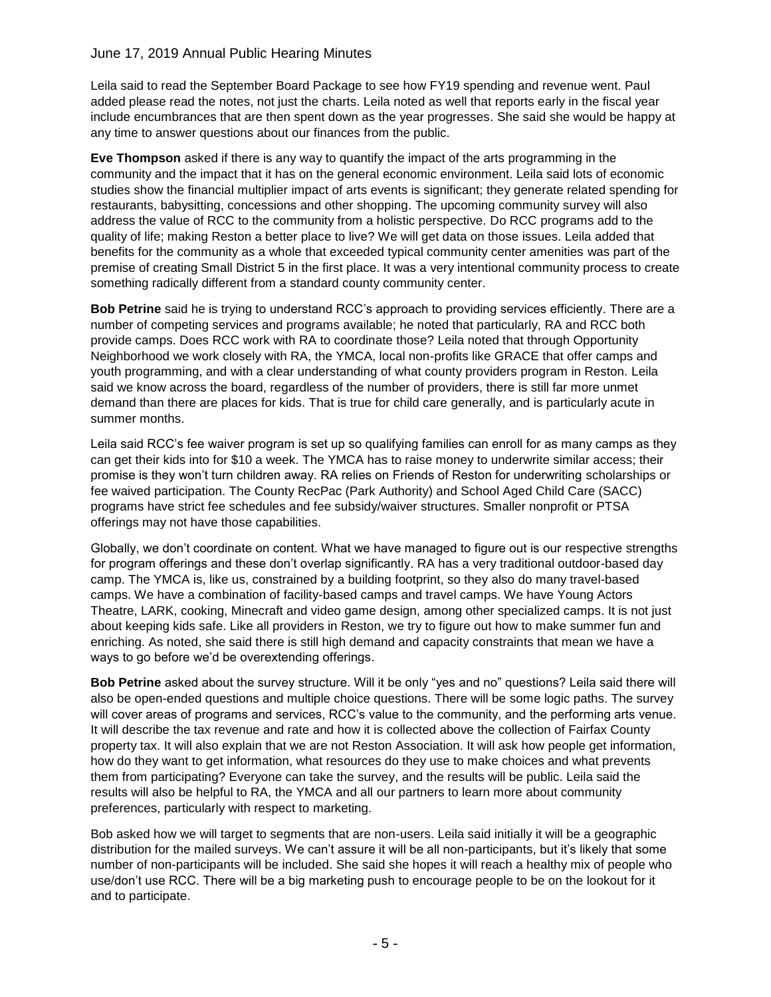Leila said to read the September Board Package to see how FY19 spending and revenue went. Paul added please read the notes, not just the charts. Leila noted as well that reports early in the fiscal year include encumbrances that are then spent down as the year progresses. She said she would be happy at any time to answer questions about our finances from the public.

**Eve Thompson** asked if there is any way to quantify the impact of the arts programming in the community and the impact that it has on the general economic environment. Leila said lots of economic studies show the financial multiplier impact of arts events is significant; they generate related spending for restaurants, babysitting, concessions and other shopping. The upcoming community survey will also address the value of RCC to the community from a holistic perspective. Do RCC programs add to the quality of life; making Reston a better place to live? We will get data on those issues. Leila added that benefits for the community as a whole that exceeded typical community center amenities was part of the premise of creating Small District 5 in the first place. It was a very intentional community process to create something radically different from a standard county community center.

**Bob Petrine** said he is trying to understand RCC's approach to providing services efficiently. There are a number of competing services and programs available; he noted that particularly, RA and RCC both provide camps. Does RCC work with RA to coordinate those? Leila noted that through Opportunity Neighborhood we work closely with RA, the YMCA, local non-profits like GRACE that offer camps and youth programming, and with a clear understanding of what county providers program in Reston. Leila said we know across the board, regardless of the number of providers, there is still far more unmet demand than there are places for kids. That is true for child care generally, and is particularly acute in summer months.

Leila said RCC's fee waiver program is set up so qualifying families can enroll for as many camps as they can get their kids into for \$10 a week. The YMCA has to raise money to underwrite similar access; their promise is they won't turn children away. RA relies on Friends of Reston for underwriting scholarships or fee waived participation. The County RecPac (Park Authority) and School Aged Child Care (SACC) programs have strict fee schedules and fee subsidy/waiver structures. Smaller nonprofit or PTSA offerings may not have those capabilities.

Globally, we don't coordinate on content. What we have managed to figure out is our respective strengths for program offerings and these don't overlap significantly. RA has a very traditional outdoor-based day camp. The YMCA is, like us, constrained by a building footprint, so they also do many travel-based camps. We have a combination of facility-based camps and travel camps. We have Young Actors Theatre, LARK, cooking, Minecraft and video game design, among other specialized camps. It is not just about keeping kids safe. Like all providers in Reston, we try to figure out how to make summer fun and enriching. As noted, she said there is still high demand and capacity constraints that mean we have a ways to go before we'd be overextending offerings.

**Bob Petrine** asked about the survey structure. Will it be only "yes and no" questions? Leila said there will also be open-ended questions and multiple choice questions. There will be some logic paths. The survey will cover areas of programs and services, RCC's value to the community, and the performing arts venue. It will describe the tax revenue and rate and how it is collected above the collection of Fairfax County property tax. It will also explain that we are not Reston Association. It will ask how people get information, how do they want to get information, what resources do they use to make choices and what prevents them from participating? Everyone can take the survey, and the results will be public. Leila said the results will also be helpful to RA, the YMCA and all our partners to learn more about community preferences, particularly with respect to marketing.

Bob asked how we will target to segments that are non-users. Leila said initially it will be a geographic distribution for the mailed surveys. We can't assure it will be all non-participants, but it's likely that some number of non-participants will be included. She said she hopes it will reach a healthy mix of people who use/don't use RCC. There will be a big marketing push to encourage people to be on the lookout for it and to participate.